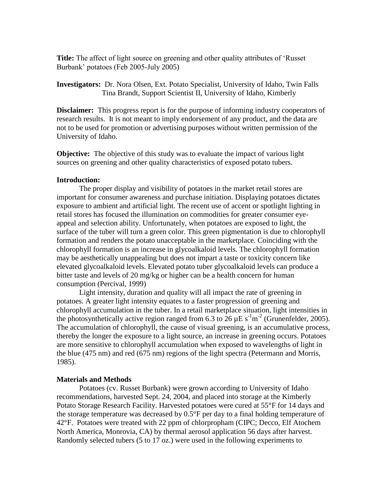**Title:** The affect of light source on greening and other quality attributes of 'Russet Burbank' potatoes (Feb 2005-July 2005)

**Investigators:** Dr. Nora Olsen, Ext. Potato Specialist, University of Idaho, Twin Falls Tina Brandt, Support Scientist II, University of Idaho, Kimberly

**Disclaimer:** This progress report is for the purpose of informing industry cooperators of research results. It is not meant to imply endorsement of any product, and the data are not to be used for promotion or advertising purposes without written permission of the University of Idaho.

**Objective:** The objective of this study was to evaluate the impact of various light sources on greening and other quality characteristics of exposed potato tubers.

## **Introduction:**

The proper display and visibility of potatoes in the market retail stores are important for consumer awareness and purchase initiation. Displaying potatoes dictates exposure to ambient and artificial light. The recent use of accent or spotlight lighting in retail stores has focused the illumination on commodities for greater consumer eyeappeal and selection ability. Unfortunately, when potatoes are exposed to light, the surface of the tuber will turn a green color. This green pigmentation is due to chlorophyll formation and renders the potato unacceptable in the marketplace. Coinciding with the chlorophyll formation is an increase in glycoalkaloid levels. The chlorophyll formation may be aesthetically unappealing but does not impart a taste or toxicity concern like elevated glycoalkaloid levels. Elevated potato tuber glycoalkaloid levels can produce a bitter taste and levels of 20 mg/kg or higher can be a health concern for human consumption (Percival, 1999)

Light intensity, duration and quality will all impact the rate of greening in potatoes. A greater light intensity equates to a faster progression of greening and chlorophyll accumulation in the tuber. In a retail marketplace situation, light intensities in the photosynthetically active region ranged from 6.3 to  $26 \mu E s^{-1} m^{-2}$  (Grunenfelder, 2005). The accumulation of chlorophyll, the cause of visual greening, is an accumulative process, thereby the longer the exposure to a light source, an increase in greening occurs. Potatoes are more sensitive to chlorophyll accumulation when exposed to wavelengths of light in the blue (475 nm) and red (675 nm) regions of the light spectra (Petermann and Morris, 1985).

#### **Materials and Methods**

Potatoes (cv. Russet Burbank) were grown according to University of Idaho recommendations, harvested Sept. 24, 2004, and placed into storage at the Kimberly Potato Storage Research Facility. Harvested potatoes were cured at 55°F for 14 days and the storage temperature was decreased by  $0.5^{\circ}$ F per day to a final holding temperature of 42°F. Potatoes were treated with 22 ppm of chlorpropham (CIPC; Decco, Elf Atochem North America, Monrovia, CA) by thermal aerosol application 56 days after harvest. Randomly selected tubers (5 to 17 oz.) were used in the following experiments to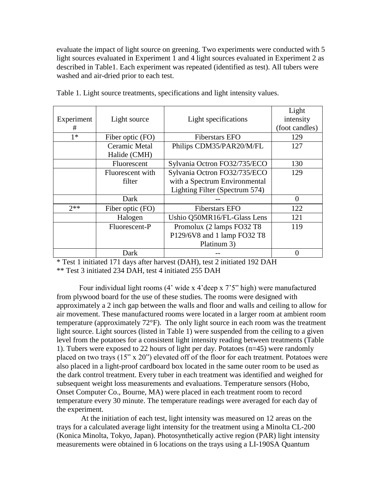evaluate the impact of light source on greening. Two experiments were conducted with 5 light sources evaluated in Experiment 1 and 4 light sources evaluated in Experiment 2 as described in Table1. Each experiment was repeated (identified as test). All tubers were washed and air-dried prior to each test.

|            |                  |                                | Light          |
|------------|------------------|--------------------------------|----------------|
| Experiment | Light source     | Light specifications           | intensity      |
| #          |                  |                                | (foot candles) |
| $1*$       | Fiber optic (FO) | <b>Fiberstars EFO</b>          | 129            |
|            | Ceramic Metal    | Philips CDM35/PAR20/M/FL       | 127            |
|            | Halide (CMH)     |                                |                |
|            | Fluorescent      | Sylvania Octron FO32/735/ECO   | 130            |
|            | Fluorescent with | Sylvania Octron FO32/735/ECO   | 129            |
|            | filter           | with a Spectrum Environmental  |                |
|            |                  | Lighting Filter (Spectrum 574) |                |
|            | Dark             |                                | $\Omega$       |
| $2**$      | Fiber optic (FO) | <b>Fiberstars EFO</b>          | 122            |
|            | Halogen          | Ushio Q50MR16/FL-Glass Lens    | 121            |
|            | Fluorescent-P    | Promolux (2 lamps FO32 T8      | 119            |
|            |                  | P129/6V8 and 1 lamp FO32 T8    |                |
|            |                  | Platinum 3)                    |                |
|            | Dark             |                                | $\Omega$       |

Table 1. Light source treatments, specifications and light intensity values.

\* Test 1 initiated 171 days after harvest (DAH), test 2 initiated 192 DAH \*\* Test 3 initiated 234 DAH, test 4 initiated 255 DAH

Four individual light rooms (4' wide x 4'deep x 7'5" high) were manufactured from plywood board for the use of these studies. The rooms were designed with approximately a 2 inch gap between the walls and floor and walls and ceiling to allow for air movement. These manufactured rooms were located in a larger room at ambient room temperature (approximately 72°F). The only light source in each room was the treatment light source. Light sources (listed in Table 1) were suspended from the ceiling to a given level from the potatoes for a consistent light intensity reading between treatments (Table 1). Tubers were exposed to 22 hours of light per day. Potatoes (n=45) were randomly placed on two trays (15" x 20") elevated off of the floor for each treatment. Potatoes were also placed in a light-proof cardboard box located in the same outer room to be used as the dark control treatment. Every tuber in each treatment was identified and weighed for subsequent weight loss measurements and evaluations. Temperature sensors (Hobo, Onset Computer Co., Bourne, MA) were placed in each treatment room to record temperature every 30 minute. The temperature readings were averaged for each day of the experiment.

At the initiation of each test, light intensity was measured on 12 areas on the trays for a calculated average light intensity for the treatment using a Minolta CL-200 (Konica Minolta, Tokyo, Japan). Photosynthetically active region (PAR) light intensity measurements were obtained in 6 locations on the trays using a LI-190SA Quantum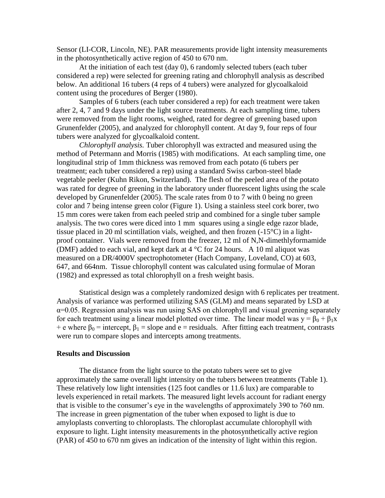Sensor (LI-COR, Lincoln, NE). PAR measurements provide light intensity measurements in the photosynthetically active region of 450 to 670 nm.

At the initiation of each test (day 0), 6 randomly selected tubers (each tuber considered a rep) were selected for greening rating and chlorophyll analysis as described below. An additional 16 tubers (4 reps of 4 tubers) were analyzed for glycoalkaloid content using the procedures of Berger (1980).

Samples of 6 tubers (each tuber considered a rep) for each treatment were taken after 2, 4, 7 and 9 days under the light source treatments. At each sampling time, tubers were removed from the light rooms, weighed, rated for degree of greening based upon Grunenfelder (2005), and analyzed for chlorophyll content. At day 9, four reps of four tubers were analyzed for glycoalkaloid content.

*Chlorophyll analysis.* Tuber chlorophyll was extracted and measured using the method of Petermann and Morris (1985) with modifications. At each sampling time, one longitudinal strip of 1mm thickness was removed from each potato (6 tubers per treatment; each tuber considered a rep) using a standard Swiss carbon-steel blade vegetable peeler (Kuhn Rikon, Switzerland). The flesh of the peeled area of the potato was rated for degree of greening in the laboratory under fluorescent lights using the scale developed by Grunenfelder (2005). The scale rates from 0 to 7 with 0 being no green color and 7 being intense green color (Figure 1). Using a stainless steel cork borer, two 15 mm cores were taken from each peeled strip and combined for a single tuber sample analysis. The two cores were diced into 1 mm squares using a single edge razor blade, tissue placed in 20 ml scintillation vials, weighed, and then frozen (-15°C) in a lightproof container. Vials were removed from the freezer, 12 ml of N,N-dimethlyformamide (DMF) added to each vial, and kept dark at  $4^{\circ}$ C for 24 hours. A 10 ml aliquot was measured on a DR/4000V spectrophotometer (Hach Company, Loveland, CO) at 603, 647, and 664nm. Tissue chlorophyll content was calculated using formulae of Moran (1982) and expressed as total chlorophyll on a fresh weight basis.

Statistical design was a completely randomized design with 6 replicates per treatment. Analysis of variance was performed utilizing SAS (GLM) and means separated by LSD at α=0.05. Regression analysis was run using SAS on chlorophyll and visual greening separately for each treatment using a linear model plotted over time. The linear model was  $y = \beta_0 + \beta_1 x$ + e where  $\beta_0$  = intercept,  $\beta_1$  = slope and e = residuals. After fitting each treatment, contrasts were run to compare slopes and intercepts among treatments.

### **Results and Discussion**

The distance from the light source to the potato tubers were set to give approximately the same overall light intensity on the tubers between treatments (Table 1). These relatively low light intensities (125 foot candles or 11.6 lux) are comparable to levels experienced in retail markets. The measured light levels account for radiant energy that is visible to the consumer's eye in the wavelengths of approximately 390 to 760 nm. The increase in green pigmentation of the tuber when exposed to light is due to amyloplasts converting to chloroplasts. The chloroplast accumulate chlorophyll with exposure to light. Light intensity measurements in the photosynthetically active region (PAR) of 450 to 670 nm gives an indication of the intensity of light within this region.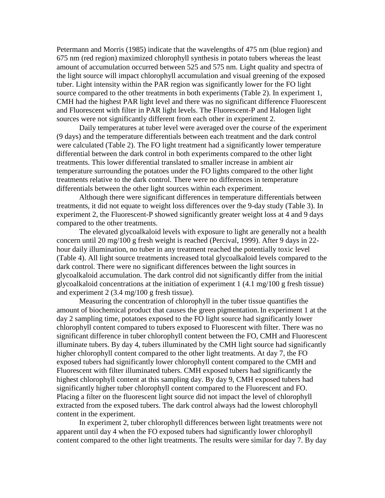Petermann and Morris (1985) indicate that the wavelengths of 475 nm (blue region) and 675 nm (red region) maximized chlorophyll synthesis in potato tubers whereas the least amount of accumulation occurred between 525 and 575 nm. Light quality and spectra of the light source will impact chlorophyll accumulation and visual greening of the exposed tuber. Light intensity within the PAR region was significantly lower for the FO light source compared to the other treatments in both experiments (Table 2). In experiment 1, CMH had the highest PAR light level and there was no significant difference Fluorescent and Fluorescent with filter in PAR light levels. The Fluorescent-P and Halogen light sources were not significantly different from each other in experiment 2.

Daily temperatures at tuber level were averaged over the course of the experiment (9 days) and the temperature differentials between each treatment and the dark control were calculated (Table 2). The FO light treatment had a significantly lower temperature differential between the dark control in both experiments compared to the other light treatments. This lower differential translated to smaller increase in ambient air temperature surrounding the potatoes under the FO lights compared to the other light treatments relative to the dark control. There were no differences in temperature differentials between the other light sources within each experiment.

Although there were significant differences in temperature differentials between treatments, it did not equate to weight loss differences over the 9-day study (Table 3). In experiment 2, the Fluorescent-P showed significantly greater weight loss at 4 and 9 days compared to the other treatments.

The elevated glycoalkaloid levels with exposure to light are generally not a health concern until 20 mg/100 g fresh weight is reached (Percival, 1999). After 9 days in 22 hour daily illumination, no tuber in any treatment reached the potentially toxic level (Table 4). All light source treatments increased total glycoalkaloid levels compared to the dark control. There were no significant differences between the light sources in glycoalkaloid accumulation. The dark control did not significantly differ from the initial glycoalkaloid concentrations at the initiation of experiment 1 (4.1 mg/100 g fresh tissue) and experiment 2 (3.4 mg/100 g fresh tissue).

Measuring the concentration of chlorophyll in the tuber tissue quantifies the amount of biochemical product that causes the green pigmentation.In experiment 1 at the day 2 sampling time, potatoes exposed to the FO light source had significantly lower chlorophyll content compared to tubers exposed to Fluorescent with filter. There was no significant difference in tuber chlorophyll content between the FO, CMH and Fluorescent illuminate tubers. By day 4, tubers illuminated by the CMH light source had significantly higher chlorophyll content compared to the other light treatments. At day 7, the FO exposed tubers had significantly lower chlorophyll content compared to the CMH and Fluorescent with filter illuminated tubers. CMH exposed tubers had significantly the highest chlorophyll content at this sampling day. By day 9, CMH exposed tubers had significantly higher tuber chlorophyll content compared to the Fluorescent and FO. Placing a filter on the fluorescent light source did not impact the level of chlorophyll extracted from the exposed tubers. The dark control always had the lowest chlorophyll content in the experiment.

In experiment 2, tuber chlorophyll differences between light treatments were not apparent until day 4 when the FO exposed tubers had significantly lower chlorophyll content compared to the other light treatments. The results were similar for day 7. By day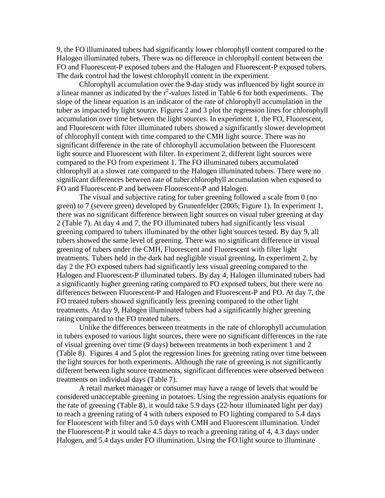9, the FO illuminated tubers had significantly lower chlorophyll content compared to the Halogen illuminated tubers. There was no difference in chlorophyll content between the FO and Fluorescent-P exposed tubers and the Halogen and Fluorescent-P exposed tubers. The dark control had the lowest chlorophyll content in the experiment.

Chlorophyll accumulation over the 9-day study was influenced by light source in a linear manner as indicated by the  $r^2$ -values listed in Table 6 for both experiments. The slope of the linear equation is an indicator of the rate of chlorophyll accumulation in the tuber as impacted by light source. Figures 2 and 3 plot the regression lines for chlorophyll accumulation over time between the light sources. In experiment 1, the FO, Fluorescent, and Fluorescent with filter illuminated tubers showed a significantly slower development of chlorophyll content with time compared to the CMH light source. There was no significant difference in the rate of chlorophyll accumulation between the Fluorescent light source and Fluorescent with filter. In experiment 2, different light sources were compared to the FO from experiment 1. The FO illuminated tubers accumulated chlorophyll at a slower rate compared to the Halogen illuminated tubers. There were no significant differences between rate of tuber chlorophyll accumulation when exposed to FO and Fluorescent-P and between Fluorescent-P and Halogen.

The visual and subjective rating for tuber greening followed a scale from 0 (no green) to 7 (severe green) developed by Grunenfelder (2005; Figure 1). In experiment 1, there was no significant difference between light sources on visual tuber greening at day 2 (Table 7). At day 4 and 7, the FO illuminated tubers had significantly less visual greening compared to tubers illuminated by the other light sources tested. By day 9, all tubers showed the same level of greening. There was no significant difference in visual greening of tubers under the CMH, Fluorescent and Fluorescent with filter light treatments. Tubers held in the dark had negligible visual greening. In experiment 2, by day 2 the FO exposed tubers had significantly less visual greening compared to the Halogen and Fluorescent-P illuminated tubers. By day 4, Halogen illuminated tubers had a significantly higher greening rating compared to FO exposed tubers, but there were no differences between Fluorescent-P and Halogen and Fluorescent-P and FO. At day 7, the FO treated tubers showed significantly less greening compared to the other light treatments. At day 9, Halogen illuminated tubers had a significantly higher greening rating compared to the FO treated tubers.

Unlike the differences between treatments in the rate of chlorophyll accumulation in tubers exposed to various light sources, there were no significant differences in the rate of visual greening over time (9 days) between treatments in both experiment 1 and 2 (Table 8). Figures 4 and 5 plot the regression lines for greening rating over time between the light sources for both experiments. Although the rate of greening is not significantly different between light source treatments, significant differences were observed between treatments on individual days (Table 7).

A retail market manager or consumer may have a range of levels that would be considered unacceptable greening in potatoes. Using the regression analysis equations for the rate of greening (Table 8), it would take 5.9 days (22-hour illuminated light per day) to reach a greening rating of 4 with tubers exposed to FO lighting compared to 5.4 days for Fluorescent with filter and 5.0 days with CMH and Fluorescent illumination. Under the Fluorescent-P it would take 4.5 days to reach a greening rating of 4, 4.3 days under Halogen, and 5.4 days under FO illumination. Using the FO light source to illuminate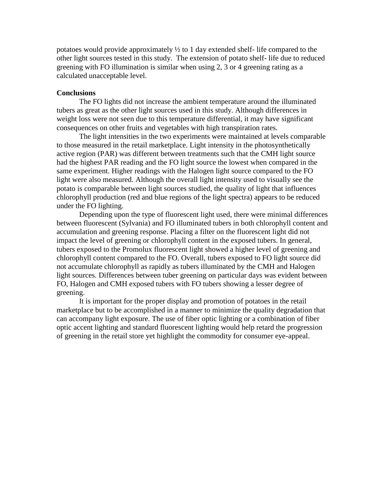potatoes would provide approximately  $\frac{1}{2}$  to 1 day extended shelf- life compared to the other light sources tested in this study. The extension of potato shelf- life due to reduced greening with FO illumination is similar when using 2, 3 or 4 greening rating as a calculated unacceptable level.

## **Conclusions**

The FO lights did not increase the ambient temperature around the illuminated tubers as great as the other light sources used in this study. Although differences in weight loss were not seen due to this temperature differential, it may have significant consequences on other fruits and vegetables with high transpiration rates.

The light intensities in the two experiments were maintained at levels comparable to those measured in the retail marketplace. Light intensity in the photosynthetically active region (PAR) was different between treatments such that the CMH light source had the highest PAR reading and the FO light source the lowest when compared in the same experiment. Higher readings with the Halogen light source compared to the FO light were also measured. Although the overall light intensity used to visually see the potato is comparable between light sources studied, the quality of light that influences chlorophyll production (red and blue regions of the light spectra) appears to be reduced under the FO lighting.

Depending upon the type of fluorescent light used, there were minimal differences between fluorescent (Sylvania) and FO illuminated tubers in both chlorophyll content and accumulation and greening response. Placing a filter on the fluorescent light did not impact the level of greening or chlorophyll content in the exposed tubers. In general, tubers exposed to the Promolux fluorescent light showed a higher level of greening and chlorophyll content compared to the FO. Overall, tubers exposed to FO light source did not accumulate chlorophyll as rapidly as tubers illuminated by the CMH and Halogen light sources. Differences between tuber greening on particular days was evident between FO, Halogen and CMH exposed tubers with FO tubers showing a lesser degree of greening.

It is important for the proper display and promotion of potatoes in the retail marketplace but to be accomplished in a manner to minimize the quality degradation that can accompany light exposure. The use of fiber optic lighting or a combination of fiber optic accent lighting and standard fluorescent lighting would help retard the progression of greening in the retail store yet highlight the commodity for consumer eye-appeal.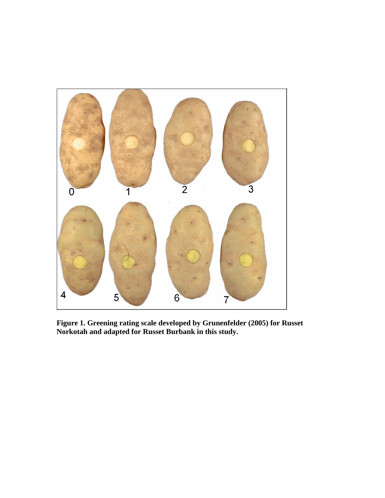

**Figure 1. Greening rating scale developed by Grunenfelder (2005) for Russet Norkotah and adapted for Russet Burbank in this study.**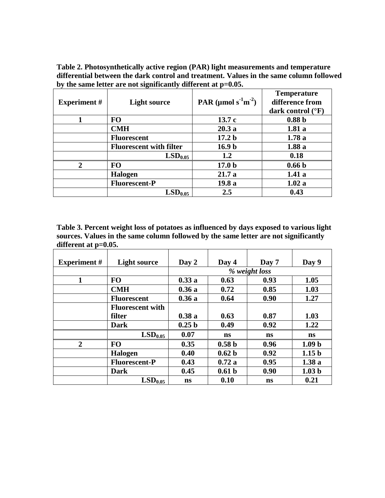**Table 2. Photosynthetically active region (PAR) light measurements and temperature differential between the dark control and treatment. Values in the same column followed by the same letter are not significantly different at p=0.05.**

| <b>Experiment</b> #         | <b>Light source</b>            | PAR ( $\mu$ mol s <sup>-1</sup> m <sup>-2</sup> ) | <b>Temperature</b><br>difference from<br>dark control $(^{\circ}F)$ |
|-----------------------------|--------------------------------|---------------------------------------------------|---------------------------------------------------------------------|
|                             | <b>FO</b>                      | 13.7c                                             | 0.88 <sub>b</sub>                                                   |
|                             | <b>CMH</b>                     | 20.3a                                             | 1.81a                                                               |
|                             | <b>Fluorescent</b>             | 17.2 <sub>b</sub>                                 | 1.78a                                                               |
|                             | <b>Fluorescent with filter</b> | 16.9 <sub>b</sub>                                 | 1.88a                                                               |
|                             | LSD <sub>0.05</sub>            | 1.2                                               | 0.18                                                                |
| $\mathcal{D}_{\mathcal{L}}$ | <b>FO</b>                      | 17.0 <sub>b</sub>                                 | 0.66 <sub>b</sub>                                                   |
|                             | Halogen                        | 21.7a                                             | 1.41a                                                               |
|                             | <b>Fluorescent-P</b>           | 19.8a                                             | 1.02a                                                               |
|                             | LSD <sub>0.05</sub>            | 2.5                                               | 0.43                                                                |

**Table 3. Percent weight loss of potatoes as influenced by days exposed to various light sources. Values in the same column followed by the same letter are not significantly different at p=0.05.**

| <b>Experiment</b> # | <b>Light source</b>     | Day 2             | Day 4             | Day 7         | Day 9             |
|---------------------|-------------------------|-------------------|-------------------|---------------|-------------------|
|                     |                         |                   |                   | % weight loss |                   |
| 1                   | <b>FO</b>               | 0.33a             | 0.63              | 0.93          | 1.05              |
|                     | <b>CMH</b>              | 0.36a             | 0.72              | 0.85          | 1.03              |
|                     | <b>Fluorescent</b>      | 0.36a             | 0.64              | 0.90          | 1.27              |
|                     | <b>Fluorescent with</b> |                   |                   |               |                   |
|                     | filter                  | 0.38a             | 0.63              | 0.87          | 1.03              |
|                     | Dark                    | 0.25 <sub>b</sub> | 0.49              | 0.92          | 1.22              |
|                     | LSD <sub>0.05</sub>     | 0.07              | <b>ns</b>         | <b>ns</b>     | <b>ns</b>         |
| $\overline{2}$      | <b>FO</b>               | 0.35              | 0.58 <sub>b</sub> | 0.96          | 1.09 <sub>b</sub> |
|                     | Halogen                 | 0.40              | 0.62 <sub>b</sub> | 0.92          | 1.15 <sub>b</sub> |
|                     | <b>Fluorescent-P</b>    | 0.43              | 0.72a             | 0.95          | 1.38a             |
|                     | <b>Dark</b>             | 0.45              | 0.61 <sub>b</sub> | 0.90          | 1.03 <sub>b</sub> |
|                     | LSD <sub>0.05</sub>     | ns                | 0.10              | ns            | 0.21              |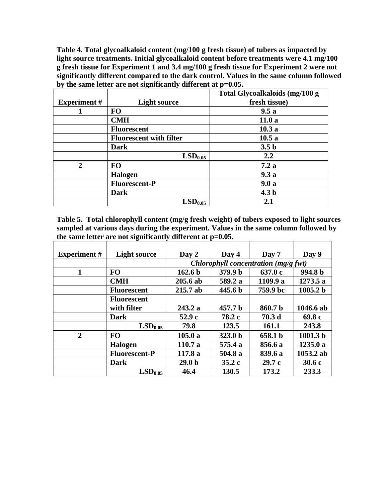**Table 4. Total glycoalkaloid content (mg/100 g fresh tissue) of tubers as impacted by light source treatments. Initial glycoalkaloid content before treatments were 4.1 mg/100 g fresh tissue for Experiment 1 and 3.4 mg/100 g fresh tissue for Experiment 2 were not significantly different compared to the dark control. Values in the same column followed by the same letter are not significantly different at p=0.05.**

|                     |                                | Total Glycoalkaloids (mg/100 g |
|---------------------|--------------------------------|--------------------------------|
| <b>Experiment</b> # | <b>Light source</b>            | fresh tissue)                  |
|                     | <b>FO</b>                      | 9.5a                           |
|                     | <b>CMH</b>                     | 11.0a                          |
|                     | <b>Fluorescent</b>             | 10.3a                          |
|                     | <b>Fluorescent with filter</b> | 10.5a                          |
|                     | <b>Dark</b>                    | 3.5 <sub>b</sub>               |
|                     | $\mathrm{LSD}_{0.05}$          | 2.2                            |
| $\mathbf{2}$        | <b>FO</b>                      | 7.2a                           |
|                     | <b>Halogen</b>                 | 9.3a                           |
|                     | <b>Fluorescent-P</b>           | 9.0a                           |
|                     | <b>Dark</b>                    | 4.3 <sub>b</sub>               |
|                     | LSD <sub>0.05</sub>            | 2.1                            |

**Table 5. Total chlorophyll content (mg/g fresh weight) of tubers exposed to light sources sampled at various days during the experiment. Values in the same column followed by the same letter are not significantly different at p=0.05.**

| <b>Experiment</b> # | <b>Light source</b>  | Day 2              | Day 4              | Day 7                                | Day 9               |
|---------------------|----------------------|--------------------|--------------------|--------------------------------------|---------------------|
|                     |                      |                    |                    | Chlorophyll concentration (mg/g fwt) |                     |
| 1                   | <b>FO</b>            | 162.6 <sub>b</sub> | 379.9 b            | 637.0 c                              | 994.8 b             |
|                     | <b>CMH</b>           | $205.6$ ab         | 589.2 a            | 1109.9 a                             | 1273.5 a            |
|                     | <b>Fluorescent</b>   | $215.7$ ab         | 445.6 <sub>b</sub> | 759.9 bc                             | 1005.2 <sub>b</sub> |
|                     | <b>Fluorescent</b>   |                    |                    |                                      |                     |
|                     | with filter          | 243.2a             | 457.7 b            | 860.7 b                              | 1046.6 ab           |
|                     | <b>Dark</b>          | 52.9c              | 78.2 c             | 70.3 <sub>d</sub>                    | 69.8c               |
|                     | LSD <sub>0.05</sub>  | 79.8               | 123.5              | 161.1                                | 243.8               |
| $\overline{2}$      | <b>FO</b>            | 105.0a             | 323.0 <sub>b</sub> | 658.1 b                              | 1001.3 <sub>b</sub> |
|                     | <b>Halogen</b>       | 110.7a             | 575.4 a            | 856.6 a                              | 1235.0a             |
|                     | <b>Fluorescent-P</b> | 117.8 a            | 504.8 a            | 839.6 a                              | 1053.2 ab           |
|                     | <b>Dark</b>          | 29.0 <sub>b</sub>  | 35.2c              | 29.7c                                | 30.6c               |
|                     | LSD <sub>0.05</sub>  | 46.4               | 130.5              | 173.2                                | 233.3               |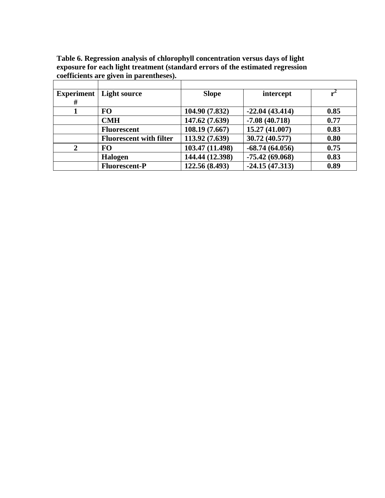|              | 0                              |                 |                  |      |
|--------------|--------------------------------|-----------------|------------------|------|
|              |                                |                 |                  |      |
| Experiment   | <b>Light source</b>            | <b>Slope</b>    | intercept        |      |
| #            |                                |                 |                  |      |
|              | <b>FO</b>                      | 104.90 (7.832)  | $-22.04(43.414)$ | 0.85 |
|              | <b>CMH</b>                     | 147.62 (7.639)  | $-7.08(40.718)$  | 0.77 |
|              | <b>Fluorescent</b>             | 108.19 (7.667)  | 15.27 (41.007)   | 0.83 |
|              | <b>Fluorescent with filter</b> | 113.92 (7.639)  | 30.72 (40.577)   | 0.80 |
| $\mathbf{2}$ | <b>FO</b>                      | 103.47 (11.498) | $-68.74(64.056)$ | 0.75 |
|              | Halogen                        | 144.44 (12.398) | $-75.42(69.068)$ | 0.83 |
|              | <b>Fluorescent-P</b>           | 122.56 (8.493)  | $-24.15(47.313)$ | 0.89 |

**Table 6. Regression analysis of chlorophyll concentration versus days of light exposure for each light treatment (standard errors of the estimated regression coefficients are given in parentheses).**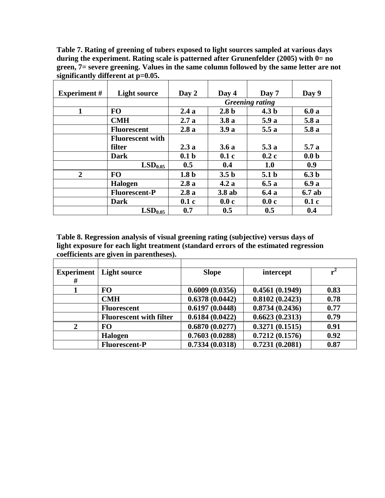**Table 7. Rating of greening of tubers exposed to light sources sampled at various days during the experiment. Rating scale is patterned after Grunenfelder (2005) with 0= no green, 7= severe greening. Values in the same column followed by the same letter are not significantly different at p=0.05.**

| <b>Experiment</b> # | <b>Light source</b>     | Day 2            | Day 4            | Day 7                  | Day 9            |
|---------------------|-------------------------|------------------|------------------|------------------------|------------------|
|                     |                         |                  |                  | <b>Greening rating</b> |                  |
| 1                   | <b>FO</b>               | 2.4a             | 2.8 <sub>b</sub> | 4.3 <sub>b</sub>       | 6.0a             |
|                     | <b>CMH</b>              | 2.7a             | 3.8a             | 5.9a                   | 5.8a             |
|                     | <b>Fluorescent</b>      | 2.8a             | 3.9a             | 5.5a                   | 5.8a             |
|                     | <b>Fluorescent with</b> |                  |                  |                        |                  |
|                     | filter                  | 2.3a             | 3.6a             | 5.3a                   | 5.7a             |
|                     | <b>Dark</b>             | 0.1 <sub>b</sub> | 0.1c             | 0.2c                   | 0.0 <sub>b</sub> |
|                     | LSD <sub>0.05</sub>     | 0.5              | 0.4              | 1.0                    | 0.9              |
| $\mathbf{2}$        | <b>FO</b>               | 1.8 <sub>b</sub> | 3.5 <sub>b</sub> | 5.1 <sub>b</sub>       | 6.3 <sub>b</sub> |
|                     | <b>Halogen</b>          | 2.8a             | 4.2a             | 6.5a                   | 6.9 a            |
|                     | <b>Fluorescent-P</b>    | 2.8a             | $3.8$ ab         | 6.4a                   | 6.7ab            |
|                     | <b>Dark</b>             | 0.1c             | 0.0c             | 0.0c                   | 0.1c             |
|                     | LSD <sub>0.05</sub>     | 0.7              | 0.5              | 0.5                    | 0.4              |

**Table 8. Regression analysis of visual greening rating (subjective) versus days of light exposure for each light treatment (standard errors of the estimated regression coefficients are given in parentheses).** 

| <b>Experiment</b><br># | <b>Light source</b>            | <b>Slope</b>   | intercept      |      |
|------------------------|--------------------------------|----------------|----------------|------|
|                        | <b>FO</b>                      | 0.6009(0.0356) | 0.4561(0.1949) | 0.83 |
|                        | <b>CMH</b>                     | 0.6378(0.0442) | 0.8102(0.2423) | 0.78 |
|                        | <b>Fluorescent</b>             | 0.6197(0.0448) | 0.8734(0.2436) | 0.77 |
|                        | <b>Fluorescent with filter</b> | 0.6184(0.0422) | 0.6623(0.2313) | 0.79 |
| 2                      | <b>FO</b>                      | 0.6870(0.0277) | 0.3271(0.1515) | 0.91 |
|                        | <b>Halogen</b>                 | 0.7603(0.0288) | 0.7212(0.1576) | 0.92 |
|                        | <b>Fluorescent-P</b>           | 0.7334(0.0318) | 0.7231(0.2081) | 0.87 |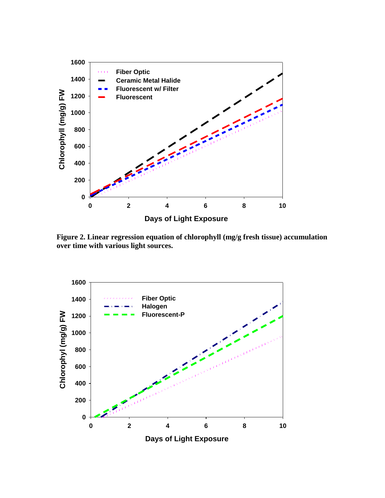

**Figure 2. Linear regression equation of chlorophyll (mg/g fresh tissue) accumulation over time with various light sources.**

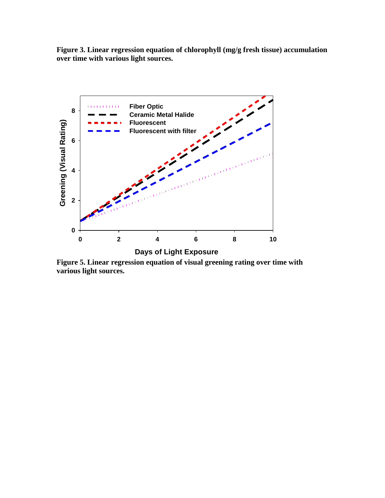**Figure 3. Linear regression equation of chlorophyll (mg/g fresh tissue) accumulation over time with various light sources.**



**Figure 5. Linear regression equation of visual greening rating over time with various light sources.**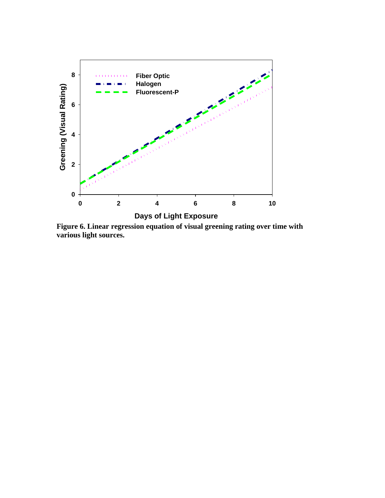

**Figure 6. Linear regression equation of visual greening rating over time with various light sources.**